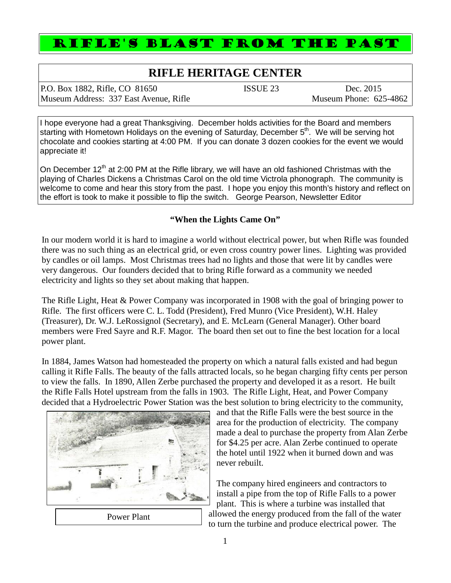## RIFLE'S BLAST FROM THE PAST

## **RIFLE HERITAGE CENTER**

P.O. Box 1882, Rifle, CO 81650 ISSUE 23 Dec. 2015 Museum Address: 337 East Avenue, Rifle Museum Phone: 625-4862

I hope everyone had a great Thanksgiving. December holds activities for the Board and members starting with Hometown Holidays on the evening of Saturday, December 5<sup>th</sup>. We will be serving hot chocolate and cookies starting at 4:00 PM. If you can donate 3 dozen cookies for the event we would appreciate it!

On December  $12<sup>th</sup>$  at 2:00 PM at the Rifle library, we will have an old fashioned Christmas with the playing of Charles Dickens a Christmas Carol on the old time Victrola phonograph. The community is welcome to come and hear this story from the past. I hope you enjoy this month's history and reflect on the effort is took to make it possible to flip the switch. George Pearson, Newsletter Editor

## **"When the Lights Came On"**

In our modern world it is hard to imagine a world without electrical power, but when Rifle was founded there was no such thing as an electrical grid, or even cross country power lines. Lighting was provided by candles or oil lamps. Most Christmas trees had no lights and those that were lit by candles were very dangerous. Our founders decided that to bring Rifle forward as a community we needed electricity and lights so they set about making that happen.

The Rifle Light, Heat & Power Company was incorporated in 1908 with the goal of bringing power to Rifle. The first officers were C. L. Todd (President), Fred Munro (Vice President), W.H. Haley (Treasurer), Dr. W.J. LeRossignol (Secretary), and E. McLearn (General Manager). Other board members were Fred Sayre and R.F. Magor. The board then set out to fine the best location for a local power plant.

In 1884, James Watson had homesteaded the property on which a natural falls existed and had begun calling it Rifle Falls. The beauty of the falls attracted locals, so he began charging fifty cents per person to view the falls. In 1890, Allen Zerbe purchased the property and developed it as a resort. He built the Rifle Falls Hotel upstream from the falls in 1903. The Rifle Light, Heat, and Power Company decided that a Hydroelectric Power Station was the best solution to bring electricity to the community,



and that the Rifle Falls were the best source in the area for the production of electricity. The company made a deal to purchase the property from Alan Zerbe for \$4.25 per acre. Alan Zerbe continued to operate the hotel until 1922 when it burned down and was never rebuilt.

The company hired engineers and contractors to install a pipe from the top of Rifle Falls to a power plant. This is where a turbine was installed that allowed the energy produced from the fall of the water to turn the turbine and produce electrical power. The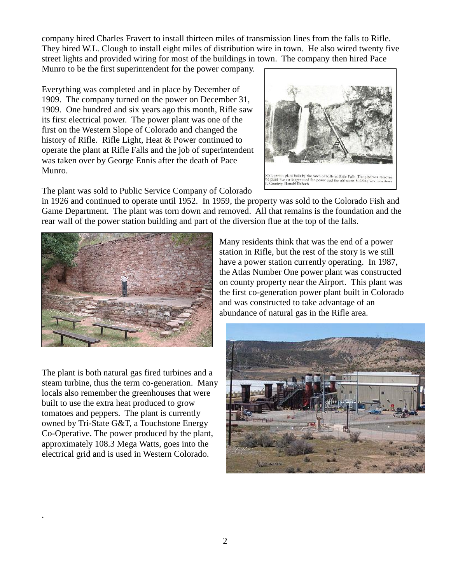company hired Charles Fravert to install thirteen miles of transmission lines from the falls to Rifle. They hired W.L. Clough to install eight miles of distribution wire in town. He also wired twenty five street lights and provided wiring for most of the buildings in town. The company then hired Pace Munro to be the first superintendent for the power company.

Everything was completed and in place by December of 1909. The company turned on the power on December 31, 1909. One hundred and six years ago this month, Rifle saw its first electrical power. The power plant was one of the first on the Western Slope of Colorado and changed the history of Rifle. Rifle Light, Heat & Power continued to operate the plant at Rifle Falls and the job of superintendent was taken over by George Ennis after the death of Pace Munro.



The plant was sold to Public Service Company of Colorado

in 1926 and continued to operate until 1952. In 1959, the property was sold to the Colorado Fish and Game Department. The plant was torn down and removed. All that remains is the foundation and the rear wall of the power station building and part of the diversion flue at the top of the falls.



The plant is both natural gas fired turbines and a steam turbine, thus the term co-generation. Many locals also remember the greenhouses that were built to use the extra heat produced to grow tomatoes and peppers. The plant is currently owned by Tri-State G&T, a Touchstone Energy Co-Operative. The power produced by the plant, approximately 108.3 Mega Watts, goes into the electrical grid and is used in Western Colorado.

.

Many residents think that was the end of a power station in Rifle, but the rest of the story is we still have a power station currently operating. In 1987, the Atlas Number One power plant was constructed on county property near the Airport. This plant was the first co-generation power plant built in Colorado and was constructed to take advantage of an abundance of natural gas in the Rifle area.